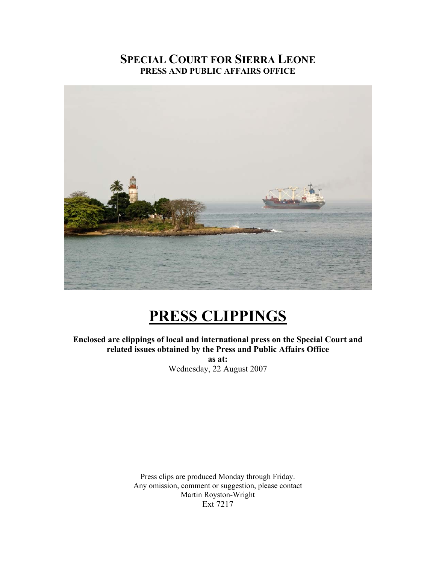# **SPECIAL COURT FOR SIERRA LEONE PRESS AND PUBLIC AFFAIRS OFFICE**



# **PRESS CLIPPINGS**

**Enclosed are clippings of local and international press on the Special Court and related issues obtained by the Press and Public Affairs Office as at:**  Wednesday, 22 August 2007

> Press clips are produced Monday through Friday. Any omission, comment or suggestion, please contact Martin Royston-Wright Ext 7217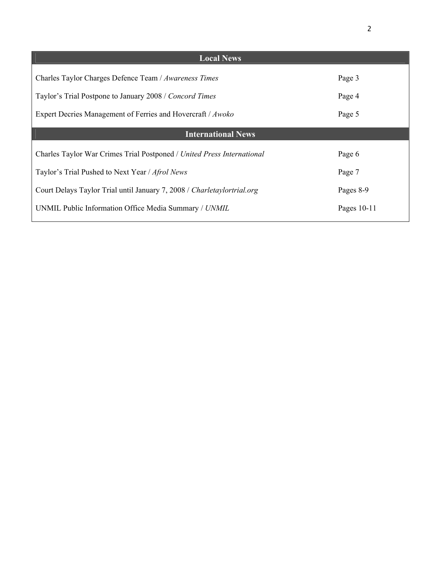| <b>Local News</b>                                                       |               |
|-------------------------------------------------------------------------|---------------|
| Charles Taylor Charges Defence Team / Awareness Times                   | Page 3        |
| Taylor's Trial Postpone to January 2008 / Concord Times                 | Page 4        |
| Expert Decries Management of Ferries and Hovercraft / Awoko             | Page 5        |
| <b>International News</b>                                               |               |
| Charles Taylor War Crimes Trial Postponed / United Press International  | Page 6        |
| Taylor's Trial Pushed to Next Year / Afrol News                         | Page 7        |
| Court Delays Taylor Trial until January 7, 2008 / Charletaylortrial.org | Pages 8-9     |
| UNMIL Public Information Office Media Summary / UNMIL                   | Pages $10-11$ |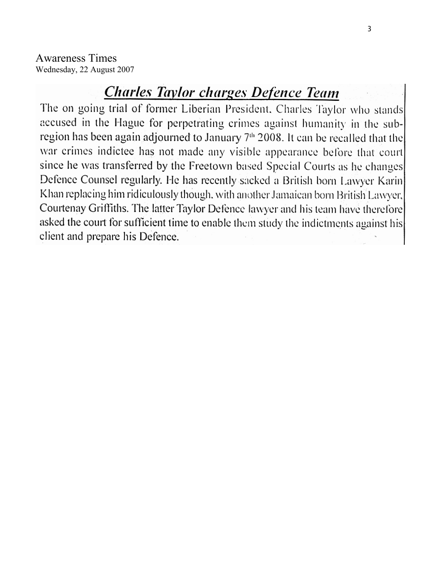Awareness Times Wednesday, 22 August 2007

# **Charles Taylor charges Defence Team**

The on going trial of former Liberian President, Charles Taylor who stands accused in the Hague for perpetrating crimes against humanity in the subregion has been again adjourned to January 7th 2008. It can be recalled that the war crimes indictee has not made any visible appearance before that court since he was transferred by the Freetown based Special Courts as he changes Defence Counsel regularly. He has recently sacked a British born Lawyer Karin Khan replacing him ridiculously though, with another Jamaican born British Lawyer, Courtenay Griffiths. The latter Taylor Defence lawyer and his team have therefore asked the court for sufficient time to enable them study the indictments against his client and prepare his Defence.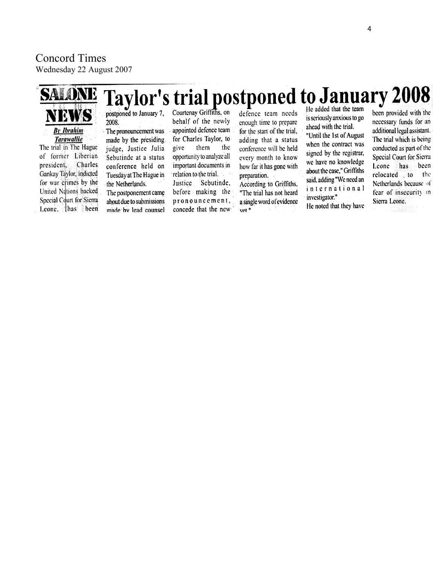# Concord Times

**By Ibrahim** 

**Tarawallie** 

The trial in The Hague

of former Liberian

Gankay Taylor, indicted

for war crimes by the

United Nations backed

Special Court for Sierra

Leone. thas been

Charles

president,

Wednesday 22 August 2007

# **Taylor's trial postponed to January 2008**

postponed to January 7, 2008.

> The pronouncement was made by the presiding judge, Justice Julia Sebutinde at a status conference held on Tuesday at The Hague in the Netherlands. The postponement came about due to submissions

made by lead counsel

Courtenay Griffiths, on behalf of the newly appointed defence team for Charles Taylor, to them the give opportunity to analyze all important documents in relation to the trial. Justice Sebutinde, before making the pronouncement, concede that the new

defence team needs enough time to prepare for the start of the trial, adding that a status conference will be held every month to know how far it has gone with preparation.

According to Griffiths, "The trial has not heard a single word of evidence vet."

He added that the team is seriously anxious to go ahead with the trial.

"Until the 1st of August"

when the contract was

signed by the registrar,

we have no knowledge

about the case," Griffiths

said, adding "We need an

international

He noted that they have

investigator."

been provided with the necessary funds for an additional legal assistant. The trial which is being conducted as part of the Special Court for Sierra Leone has been relocated to the Netherlands because of fear of insecurity in Sierra Leone.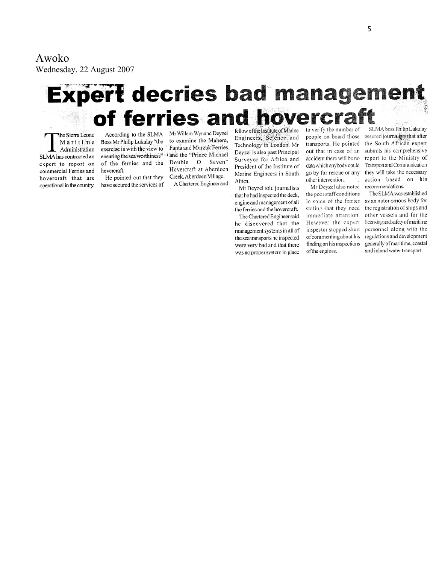Awoko

Wednesday, 22 August 2007

# **Expert decries bad management** of ferries and hovercra

The Sierra Leone Maritime Administration SLMA has contracted an expert to report on commercial Ferries and hovercraft that are operational in the country.

According to the SLMA Boss Mr Philip Lukulay "the exercise is with the view to ensuring the sea worthiness" Fand the "Prince Michael of the ferries and the Double O Seven" hovercraft. He pointed out that they

have secured the services of

Mr Willem Wynand Deyzel to examine the Mahera, Fanta and Murzuk Ferries Hovercraft at Aberdeen Creek, Aberdeen Village. A Chartered Engineer and

fellow of the Institute of Marine Engineers, Science and Technology in London, Mr Deyzel is also past Principal Surveyor for Africa and President of the Institute of Marine Engineers in South Africa.

Mr Deyzel told journalists that he had inspected the deck, engine and management of all the ferries and the hovercraft. The Chartered Engineer said he discovered that the management systems in all of the sea transports he inspected were very bad and that there was no proper system in place

to verify the number of transports. He pointed out that in case of an accident there will be no data which anybody could go by for rescue or any other intervention. Mr Deyzel also noted

the poor staff conditions in some of the ferries stating that they need immediate attention. However the expert inspector stopped short of commenting about his finding on his inspections of the engines.

SLMA boss Philip Lukulay people on board those assured journalists that after the South African expert submits his comprehensive report to the Ministry of Transport and Communication they will take the necessary action based on his recommendations.

The SLMA was established as an autonomous body for the registration of ships and other vessels and for the licensing and safety of maritime personnel along with the regulations and development generally of maritime, coastal and inland water transport.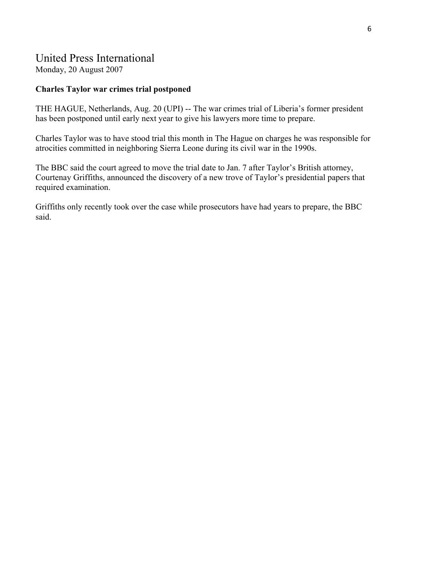## United Press International

Monday, 20 August 2007

#### **Charles Taylor war crimes trial postponed**

THE HAGUE, Netherlands, Aug. 20 (UPI) -- The war crimes trial of Liberia's former president has been postponed until early next year to give his lawyers more time to prepare.

Charles Taylor was to have stood trial this month in The Hague on charges he was responsible for atrocities committed in neighboring Sierra Leone during its civil war in the 1990s.

The BBC said the court agreed to move the trial date to Jan. 7 after Taylor's British attorney, Courtenay Griffiths, announced the discovery of a new trove of Taylor's presidential papers that required examination.

Griffiths only recently took over the case while prosecutors have had years to prepare, the BBC said.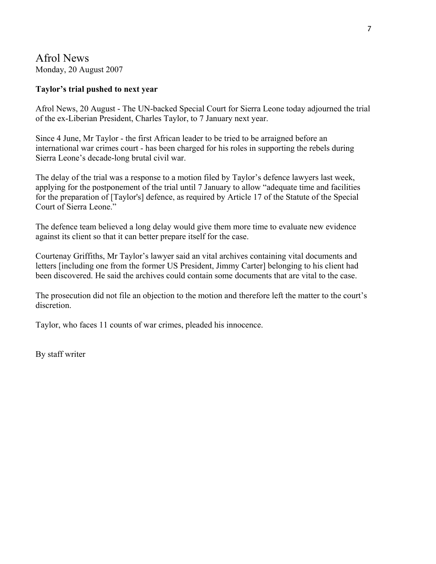## Afrol News Monday, 20 August 2007

#### **Taylor's trial pushed to next year**

Afrol News, 20 August - The UN-backed Special Court for Sierra Leone today adjourned the trial of the ex-Liberian President, Charles Taylor, to 7 January next year.

Since 4 June, Mr Taylor - the first African leader to be tried to be arraigned before an international war crimes court - has been charged for his roles in supporting the rebels during Sierra Leone's decade-long brutal civil war.

The delay of the trial was a response to a motion filed by Taylor's defence lawyers last week, applying for the postponement of the trial until 7 January to allow "adequate time and facilities for the preparation of [Taylor's] defence, as required by Article 17 of the Statute of the Special Court of Sierra Leone."

The defence team believed a long delay would give them more time to evaluate new evidence against its client so that it can better prepare itself for the case.

Courtenay Griffiths, Mr Taylor's lawyer said an vital archives containing vital documents and letters [including one from the former US President, Jimmy Carter] belonging to his client had been discovered. He said the archives could contain some documents that are vital to the case.

The prosecution did not file an objection to the motion and therefore left the matter to the court's discretion.

Taylor, who faces 11 counts of war crimes, pleaded his innocence.

By staff writer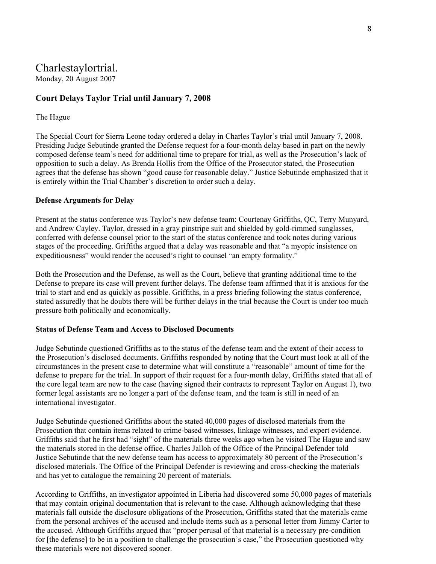# Charlestaylortrial.

Monday, 20 August 2007

#### **[Court Delays Taylor Trial until January 7, 2008](http://charlestaylortrial.org/2007/08/20/court-delays-taylor-trial-until-january-7-2008/)**

#### The Hague

The Special Court for Sierra Leone today ordered a delay in Charles Taylor's trial until January 7, 2008. Presiding Judge Sebutinde granted the Defense request for a four-month delay based in part on the newly composed defense team's need for additional time to prepare for trial, as well as the Prosecution's lack of opposition to such a delay. As Brenda Hollis from the Office of the Prosecutor stated, the Prosecution agrees that the defense has shown "good cause for reasonable delay." Justice Sebutinde emphasized that it is entirely within the Trial Chamber's discretion to order such a delay.

#### **Defense Arguments for Delay**

Present at the status conference was Taylor's new defense team: Courtenay Griffiths, QC, Terry Munyard, and Andrew Cayley. Taylor, dressed in a gray pinstripe suit and shielded by gold-rimmed sunglasses, conferred with defense counsel prior to the start of the status conference and took notes during various stages of the proceeding. Griffiths argued that a delay was reasonable and that "a myopic insistence on expeditiousness" would render the accused's right to counsel "an empty formality."

Both the Prosecution and the Defense, as well as the Court, believe that granting additional time to the Defense to prepare its case will prevent further delays. The defense team affirmed that it is anxious for the trial to start and end as quickly as possible. Griffiths, in a press briefing following the status conference, stated assuredly that he doubts there will be further delays in the trial because the Court is under too much pressure both politically and economically.

#### **Status of Defense Team and Access to Disclosed Documents**

Judge Sebutinde questioned Griffiths as to the status of the defense team and the extent of their access to the Prosecution's disclosed documents. Griffiths responded by noting that the Court must look at all of the circumstances in the present case to determine what will constitute a "reasonable" amount of time for the defense to prepare for the trial. In support of their request for a four-month delay, Griffiths stated that all of the core legal team are new to the case (having signed their contracts to represent Taylor on August 1), two former legal assistants are no longer a part of the defense team, and the team is still in need of an international investigator.

Judge Sebutinde questioned Griffiths about the stated 40,000 pages of disclosed materials from the Prosecution that contain items related to crime-based witnesses, linkage witnesses, and expert evidence. Griffiths said that he first had "sight" of the materials three weeks ago when he visited The Hague and saw the materials stored in the defense office. Charles Jalloh of the Office of the Principal Defender told Justice Sebutinde that the new defense team has access to approximately 80 percent of the Prosecution's disclosed materials. The Office of the Principal Defender is reviewing and cross-checking the materials and has yet to catalogue the remaining 20 percent of materials.

According to Griffiths, an investigator appointed in Liberia had discovered some 50,000 pages of materials that may contain original documentation that is relevant to the case. Although acknowledging that these materials fall outside the disclosure obligations of the Prosecution, Griffiths stated that the materials came from the personal archives of the accused and include items such as a personal letter from Jimmy Carter to the accused. Although Griffiths argued that "proper perusal of that material is a necessary pre-condition for [the defense] to be in a position to challenge the prosecution's case," the Prosecution questioned why these materials were not discovered sooner.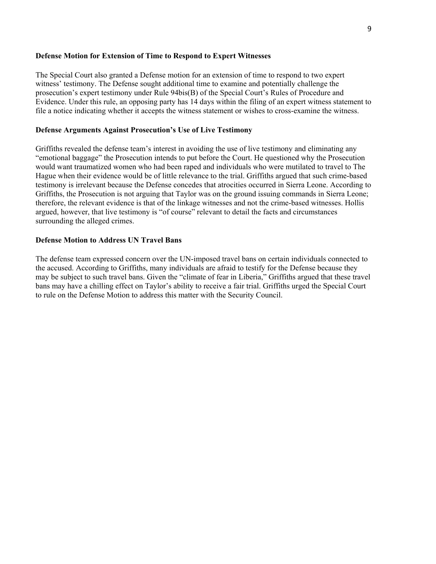#### **Defense Motion for Extension of Time to Respond to Expert Witnesses**

The Special Court also granted a Defense motion for an extension of time to respond to two expert witness' testimony. The Defense sought additional time to examine and potentially challenge the prosecution's expert testimony under Rule 94bis(B) of the Special Court's Rules of Procedure and Evidence. Under this rule, an opposing party has 14 days within the filing of an expert witness statement to file a notice indicating whether it accepts the witness statement or wishes to cross-examine the witness.

#### **Defense Arguments Against Prosecution's Use of Live Testimony**

Griffiths revealed the defense team's interest in avoiding the use of live testimony and eliminating any "emotional baggage" the Prosecution intends to put before the Court. He questioned why the Prosecution would want traumatized women who had been raped and individuals who were mutilated to travel to The Hague when their evidence would be of little relevance to the trial. Griffiths argued that such crime-based testimony is irrelevant because the Defense concedes that atrocities occurred in Sierra Leone. According to Griffiths, the Prosecution is not arguing that Taylor was on the ground issuing commands in Sierra Leone; therefore, the relevant evidence is that of the linkage witnesses and not the crime-based witnesses. Hollis argued, however, that live testimony is "of course" relevant to detail the facts and circumstances surrounding the alleged crimes.

#### **Defense Motion to Address UN Travel Bans**

The defense team expressed concern over the UN-imposed travel bans on certain individuals connected to the accused. According to Griffiths, many individuals are afraid to testify for the Defense because they may be subject to such travel bans. Given the "climate of fear in Liberia," Griffiths argued that these travel bans may have a chilling effect on Taylor's ability to receive a fair trial. Griffiths urged the Special Court to rule on the Defense Motion to address this matter with the Security Council.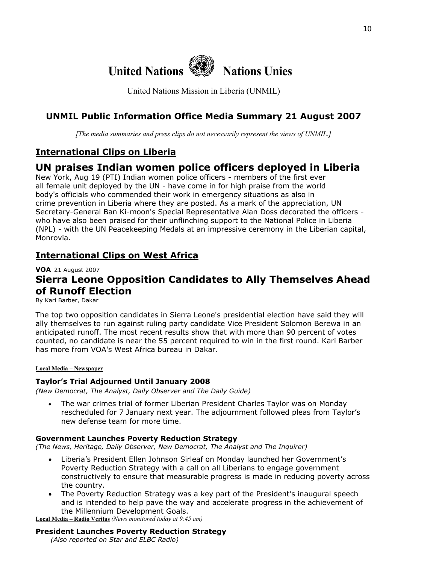

United Nations Mission in Liberia (UNMIL)

## **UNMIL Public Information Office Media Summary 21 August 2007**

*[The media summaries and press clips do not necessarily represent the views of UNMIL.]*

## **International Clips on Liberia**

# **UN praises Indian women police officers deployed in Liberia**

New York, Aug 19 (PTI) Indian women police officers - members of the first ever all female unit deployed by the UN - have come in for high praise from the world body's officials who commended their work in emergency situations as also in crime prevention in Liberia where they are posted. As a mark of the appreciation, UN Secretary-General Ban Ki-moon's Special Representative Alan Doss decorated the officers who have also been praised for their unflinching support to the National Police in Liberia (NPL) - with the UN Peacekeeping Medals at an impressive ceremony in the Liberian capital, Monrovia.

## **International Clips on West Africa**

**VOA** 21 August 2007

# **Sierra Leone Opposition Candidates to Ally Themselves Ahead of Runoff Election**

By Kari Barber, Dakar

The top two opposition candidates in Sierra Leone's presidential election have said they will ally themselves to run against ruling party candidate Vice President Solomon Berewa in an anticipated runoff. The most recent results show that with more than 90 percent of votes counted, no candidate is near the 55 percent required to win in the first round. Kari Barber has more from VOA's West Africa bureau in Dakar.

#### **Local Media – Newspaper**

#### **Taylor's Trial Adjourned Until January 2008**

*(New Democrat, The Analyst, Daily Observer and The Daily Guide)* 

• The war crimes trial of former Liberian President Charles Taylor was on Monday rescheduled for 7 January next year. The adjournment followed pleas from Taylor's new defense team for more time.

#### **Government Launches Poverty Reduction Strategy**

*(The News, Heritage, Daily Observer, New Democrat, The Analyst and The Inquirer)* 

- Liberia's President Ellen Johnson Sirleaf on Monday launched her Government's Poverty Reduction Strategy with a call on all Liberians to engage government constructively to ensure that measurable progress is made in reducing poverty across the country.
- The Poverty Reduction Strategy was a key part of the President's inaugural speech and is intended to help pave the way and accelerate progress in the achievement of the Millennium Development Goals.

**Local Media – Radio Veritas** *(News monitored today at 9:45 am)*

#### **President Launches Poverty Reduction Strategy**

 *(Also reported on Star and ELBC Radio)*